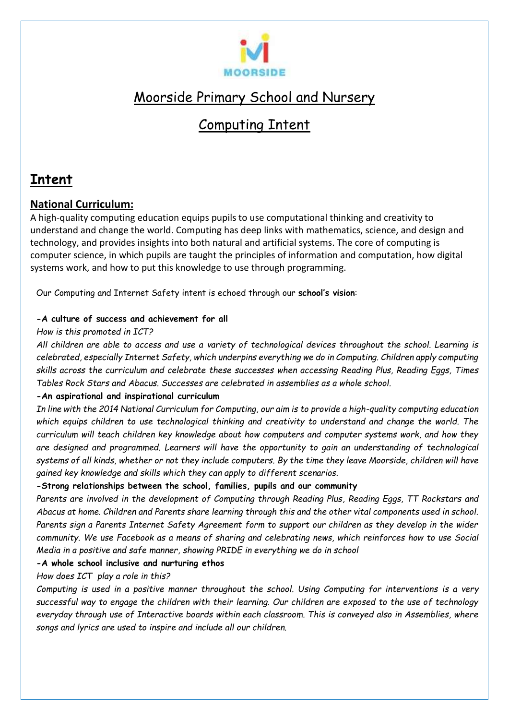

# Moorside Primary School and Nursery

# Computing Intent

## **Intent**

## **National Curriculum:**

A high-quality computing education equips pupils to use computational thinking and creativity to understand and change the world. Computing has deep links with mathematics, science, and design and technology, and provides insights into both natural and artificial systems. The core of computing is computer science, in which pupils are taught the principles of information and computation, how digital systems work, and how to put this knowledge to use through programming.

Our Computing and Internet Safety intent is echoed through our **school's vision**:

### **-A culture of success and achievement for all**

### *How is this promoted in ICT?*

*All children are able to access and use a variety of technological devices throughout the school. Learning is celebrated, especially Internet Safety, which underpins everything we do in Computing. Children apply computing skills across the curriculum and celebrate these successes when accessing Reading Plus, Reading Eggs, Times Tables Rock Stars and Abacus. Successes are celebrated in assemblies as a whole school.*

## **-An aspirational and inspirational curriculum**

*In line with the 2014 National Curriculum for Computing, our aim is to provide a high-quality computing education which equips children to use technological thinking and creativity to understand and change the world. The curriculum will teach children key knowledge about how computers and computer systems work, and how they are designed and programmed. Learners will have the opportunity to gain an understanding of technological systems of all kinds, whether or not they include computers. By the time they leave Moorside, children will have gained key knowledge and skills which they can apply to different scenarios.*

### **-Strong relationships between the school, families, pupils and our community**

*Parents are involved in the development of Computing through Reading Plus, Reading Eggs, TT Rockstars and Abacus at home. Children and Parents share learning through this and the other vital components used in school. Parents sign a Parents Internet Safety Agreement form to support our children as they develop in the wider community. We use Facebook as a means of sharing and celebrating news, which reinforces how to use Social Media in a positive and safe manner, showing PRIDE in everything we do in school* 

### **-A whole school inclusive and nurturing ethos**

*How does ICT play a role in this?*

*Computing is used in a positive manner throughout the school. Using Computing for interventions is a very successful way to engage the children with their learning. Our children are exposed to the use of technology everyday through use of Interactive boards within each classroom. This is conveyed also in Assemblies, where songs and lyrics are used to inspire and include all our children.*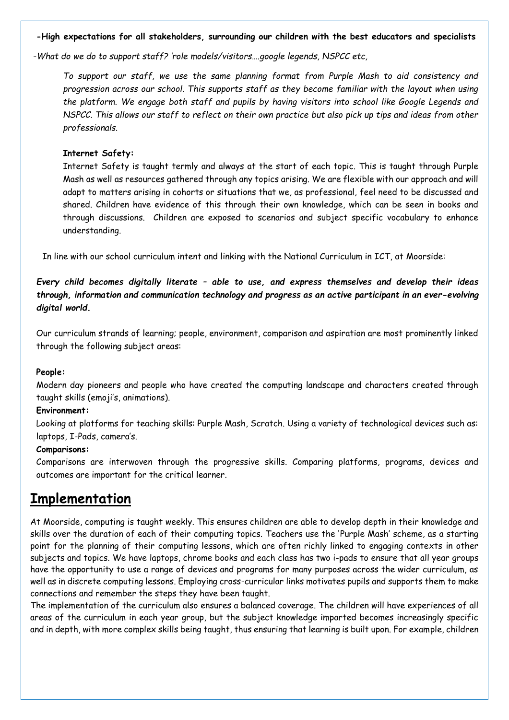#### **-High expectations for all stakeholders, surrounding our children with the best educators and specialists**

*-What do we do to support staff? 'role models/visitors….google legends, NSPCC etc,*

*To support our staff, we use the same planning format from Purple Mash to aid consistency and progression across our school. This supports staff as they become familiar with the layout when using the platform. We engage both staff and pupils by having visitors into school like Google Legends and NSPCC. This allows our staff to reflect on their own practice but also pick up tips and ideas from other professionals.* 

#### **Internet Safety:**

Internet Safety is taught termly and always at the start of each topic. This is taught through Purple Mash as well as resources gathered through any topics arising. We are flexible with our approach and will adapt to matters arising in cohorts or situations that we, as professional, feel need to be discussed and shared. Children have evidence of this through their own knowledge, which can be seen in books and through discussions. Children are exposed to scenarios and subject specific vocabulary to enhance understanding.

In line with our school curriculum intent and linking with the National Curriculum in ICT, at Moorside:

*Every child becomes digitally literate – able to use, and express themselves and develop their ideas through, information and communication technology and progress as an active participant in an ever-evolving digital world.*

Our curriculum strands of learning; people, environment, comparison and aspiration are most prominently linked through the following subject areas:

#### **People:**

Modern day pioneers and people who have created the computing landscape and characters created through taught skills (emoji's, animations).

#### **Environment:**

Looking at platforms for teaching skills: Purple Mash, Scratch. Using a variety of technological devices such as: laptops, I-Pads, camera's.

#### **Comparisons:**

Comparisons are interwoven through the progressive skills. Comparing platforms, programs, devices and outcomes are important for the critical learner.

## **Implementation**

At Moorside, computing is taught weekly. This ensures children are able to develop depth in their knowledge and skills over the duration of each of their computing topics. Teachers use the 'Purple Mash' scheme, as a starting point for the planning of their computing lessons, which are often richly linked to engaging contexts in other subjects and topics. We have laptops, chrome books and each class has two i-pads to ensure that all year groups have the opportunity to use a range of devices and programs for many purposes across the wider curriculum, as well as in discrete computing lessons. Employing cross-curricular links motivates pupils and supports them to make connections and remember the steps they have been taught.

The implementation of the curriculum also ensures a balanced coverage. The children will have experiences of all areas of the curriculum in each year group, but the subject knowledge imparted becomes increasingly specific and in depth, with more complex skills being taught, thus ensuring that learning is built upon. For example, children